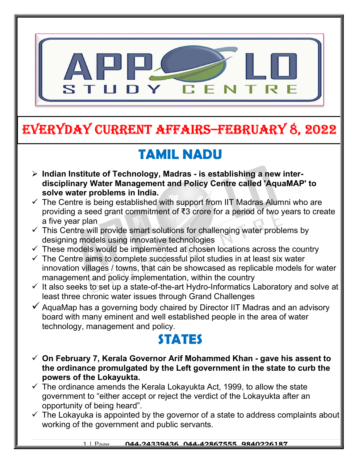

# EVERYDAY CURRENT AFFAIRS–FEbRUARY 8, 2022

# TAMIL NADU

 $\triangleright$  Indian Institute of Technology, Madras - is establishing a new interdisciplinary Water Management and Policy Centre called 'AquaMAP' to solve water problems in India.

-

- $\checkmark$  The Centre is being established with support from IIT Madras Alumni who are providing a seed grant commitment of ₹3 crore for a period of two years to create a five year plan
- $\checkmark$  This Centre will provide smart solutions for challenging water problems by designing models using innovative technologies
- $\checkmark$  These models would be implemented at chosen locations across the country
- $\checkmark$  The Centre aims to complete successful pilot studies in at least six water innovation villages / towns, that can be showcased as replicable models for water management and policy implementation, within the country
- $\checkmark$  It also seeks to set up a state-of-the-art Hydro-Informatics Laboratory and solve at least three chronic water issues through Grand Challenges
- $\checkmark$  AquaMap has a governing body chaired by Director IIT Madras and an advisory board with many eminent and well established people in the area of water technology, management and policy.

### **STATES**

- $\checkmark$  On February 7, Kerala Governor Arif Mohammed Khan gave his assent to the ordinance promulgated by the Left government in the state to curb the powers of the Lokayukta.
- $\checkmark$  The ordinance amends the Kerala Lokayukta Act, 1999, to allow the state government to "either accept or reject the verdict of the Lokayukta after an opportunity of being heard".
- $\checkmark$  The Lokayuka is appointed by the governor of a state to address complaints about working of the government and public servants.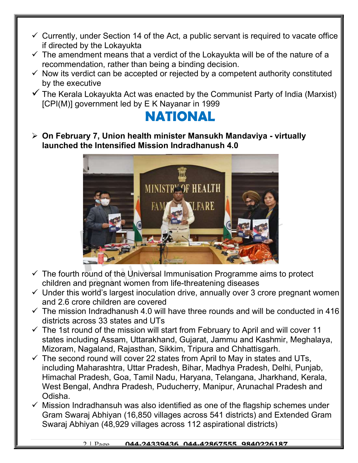- $\checkmark$  Currently, under Section 14 of the Act, a public servant is required to vacate office if directed by the Lokayukta
- $\checkmark$  The amendment means that a verdict of the Lokayukta will be of the nature of a recommendation, rather than being a binding decision.
- $\checkmark$  Now its verdict can be accepted or rejected by a competent authority constituted by the executive
- $\checkmark$  The Kerala Lokayukta Act was enacted by the Communist Party of India (Marxist) [CPI(M)] government led by E K Nayanar in 1999

### NATIONAL

 On February 7, Union health minister Mansukh Mandaviya - virtually launched the Intensified Mission Indradhanush 4.0



- $\checkmark$  The fourth round of the Universal Immunisation Programme aims to protect children and pregnant women from life-threatening diseases
- $\checkmark$  Under this world's largest inoculation drive, annually over 3 crore pregnant women and 2.6 crore children are covered
- $\checkmark$  The mission Indradhanush 4.0 will have three rounds and will be conducted in 416 districts across 33 states and UTs
- $\checkmark$  The 1st round of the mission will start from February to April and will cover 11 states including Assam, Uttarakhand, Gujarat, Jammu and Kashmir, Meghalaya, Mizoram, Nagaland, Rajasthan, Sikkim, Tripura and Chhattisgarh.
- $\checkmark$  The second round will cover 22 states from April to May in states and UTs, including Maharashtra, Uttar Pradesh, Bihar, Madhya Pradesh, Delhi, Punjab, Himachal Pradesh, Goa, Tamil Nadu, Haryana, Telangana, Jharkhand, Kerala, West Bengal, Andhra Pradesh, Puducherry, Manipur, Arunachal Pradesh and Odisha.
- $\checkmark$  Mission Indradhansuh was also identified as one of the flagship schemes under Gram Swaraj Abhiyan (16,850 villages across 541 districts) and Extended Gram Swaraj Abhiyan (48,929 villages across 112 aspirational districts)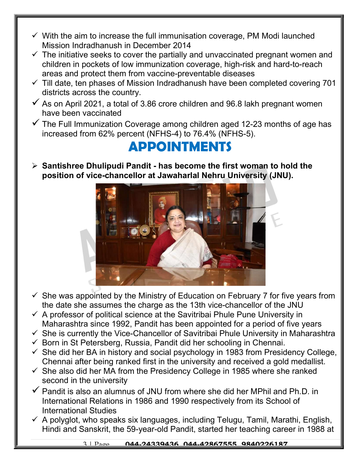- $\checkmark$  With the aim to increase the full immunisation coverage, PM Modi launched Mission Indradhanush in December 2014
- $\checkmark$  The initiative seeks to cover the partially and unvaccinated pregnant women and children in pockets of low immunization coverage, high-risk and hard-to-reach areas and protect them from vaccine-preventable diseases
- $\checkmark$  Till date, ten phases of Mission Indradhanush have been completed covering 701 districts across the country.
- $\checkmark$  As on April 2021, a total of 3.86 crore children and 96.8 lakh pregnant women have been vaccinated
- $\checkmark$  The Full Immunization Coverage among children aged 12-23 months of age has increased from 62% percent (NFHS-4) to 76.4% (NFHS-5).

#### APPOINTMENTS

 $\triangleright$  Santishree Dhulipudi Pandit - has become the first woman to hold the position of vice-chancellor at Jawaharlal Nehru University (JNU).



- $\checkmark$  She was appointed by the Ministry of Education on February 7 for five years from the date she assumes the charge as the 13th vice-chancellor of the JNU
- $\checkmark$  A professor of political science at the Savitribai Phule Pune University in Maharashtra since 1992, Pandit has been appointed for a period of five years
- $\checkmark$  She is currently the Vice-Chancellor of Savitribai Phule University in Maharashtra
- $\checkmark$  Born in St Petersberg, Russia, Pandit did her schooling in Chennai.
- $\checkmark$  She did her BA in history and social psychology in 1983 from Presidency College, Chennai after being ranked first in the university and received a gold medallist.
- $\checkmark$  She also did her MA from the Presidency College in 1985 where she ranked second in the university
- $\checkmark$  Pandit is also an alumnus of JNU from where she did her MPhil and Ph.D. in International Relations in 1986 and 1990 respectively from its School of International Studies
- $\checkmark$  A polyglot, who speaks six languages, including Telugu, Tamil, Marathi, English, Hindi and Sanskrit, the 59-year-old Pandit, started her teaching career in 1988 at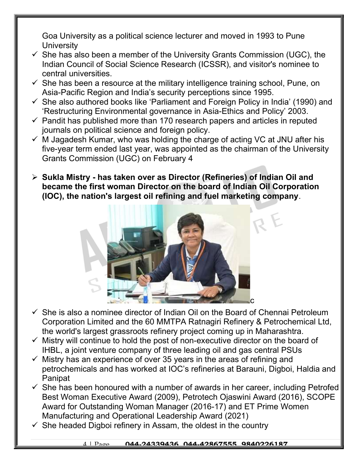Goa University as a political science lecturer and moved in 1993 to Pune **University** 

- $\checkmark$  She has also been a member of the University Grants Commission (UGC), the Indian Council of Social Science Research (ICSSR), and visitor's nominee to central universities.
- $\checkmark$  She has been a resource at the military intelligence training school, Pune, on Asia-Pacific Region and India's security perceptions since 1995.
- $\checkmark$  She also authored books like 'Parliament and Foreign Policy in India' (1990) and 'Restructuring Environmental governance in Asia-Ethics and Policy' 2003.
- $\checkmark$  Pandit has published more than 170 research papers and articles in reputed journals on political science and foreign policy.
- $\checkmark$  M Jagadesh Kumar, who was holding the charge of acting VC at JNU after his five-year term ended last year, was appointed as the chairman of the University Grants Commission (UGC) on February 4
- $\triangleright$  Sukla Mistry has taken over as Director (Refineries) of Indian Oil and became the first woman Director on the board of Indian Oil Corporation (IOC), the nation's largest oil refining and fuel marketing company.



- $\checkmark$  She is also a nominee director of Indian Oil on the Board of Chennai Petroleum Corporation Limited and the 60 MMTPA Ratnagiri Refinery & Petrochemical Ltd, the world's largest grassroots refinery project coming up in Maharashtra.
- $\checkmark$  Mistry will continue to hold the post of non-executive director on the board of IHBL, a joint venture company of three leading oil and gas central PSUs
- $\checkmark$  Mistry has an experience of over 35 years in the areas of refining and petrochemicals and has worked at IOC's refineries at Barauni, Digboi, Haldia and **Panipat**
- $\checkmark$  She has been honoured with a number of awards in her career, including Petrofed Best Woman Executive Award (2009), Petrotech Ojaswini Award (2016), SCOPE Award for Outstanding Woman Manager (2016-17) and ET Prime Women Manufacturing and Operational Leadership Award (2021)
- $\checkmark$  She headed Digboi refinery in Assam, the oldest in the country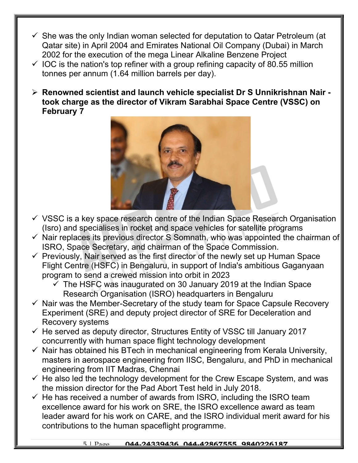- $\checkmark$  She was the only Indian woman selected for deputation to Qatar Petroleum (at Qatar site) in April 2004 and Emirates National Oil Company (Dubai) in March 2002 for the execution of the mega Linear Alkaline Benzene Project
- $\checkmark$  IOC is the nation's top refiner with a group refining capacity of 80.55 million tonnes per annum (1.64 million barrels per day).
- Renowned scientist and launch vehicle specialist Dr S Unnikrishnan Nair took charge as the director of Vikram Sarabhai Space Centre (VSSC) on February 7



- $\checkmark$  VSSC is a key space research centre of the Indian Space Research Organisation (Isro) and specialises in rocket and space vehicles for satellite programs
- $\checkmark$  Nair replaces its previous director S Somnath, who was appointed the chairman of ISRO, Space Secretary, and chairman of the Space Commission.
- $\checkmark$  Previously, Nair served as the first director of the newly set up Human Space Flight Centre (HSFC) in Bengaluru, in support of India's ambitious Gaganyaan program to send a crewed mission into orbit in 2023
	- $\checkmark$  The HSFC was inaugurated on 30 January 2019 at the Indian Space Research Organisation (ISRO) headquarters in Bengaluru
- $\checkmark$  Nair was the Member-Secretary of the study team for Space Capsule Recovery Experiment (SRE) and deputy project director of SRE for Deceleration and Recovery systems
- $\checkmark$  He served as deputy director, Structures Entity of VSSC till January 2017 concurrently with human space flight technology development
- $\checkmark$  Nair has obtained his BTech in mechanical engineering from Kerala University, masters in aerospace engineering from IISC, Bengaluru, and PhD in mechanical engineering from IIT Madras, Chennai
- $\checkmark$  He also led the technology development for the Crew Escape System, and was the mission director for the Pad Abort Test held in July 2018.
- $\checkmark$  He has received a number of awards from ISRO, including the ISRO team excellence award for his work on SRE, the ISRO excellence award as team leader award for his work on CARE, and the ISRO individual merit award for his contributions to the human spaceflight programme.